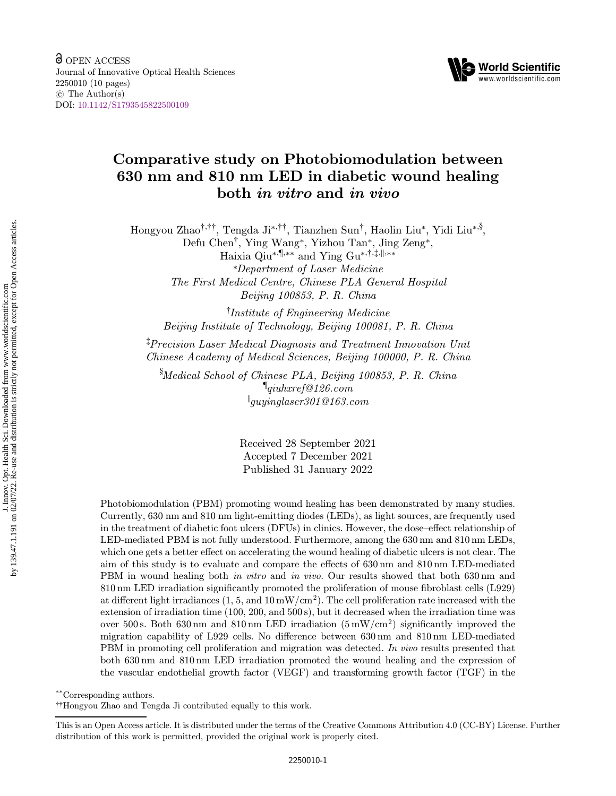

# Comparative study on Photobiomodulation between 630 nm and 810 nm LED in diabetic wound healing both in vitro and in vivo

Hongyou Zhao<sup>†,††</sup>, Tengda Ji<sup>\*,††</sup>, Tianzhen Sun<sup>†</sup>, Haolin Liu<sup>\*</sup>, Yidi Liu<sup>\*,§</sup>, Defu Chen†, Ying Wang\*, Yizhou Tan\*, Jing Zeng\*, Haixia Qiu\*, \[\, \\text{ \ing Gu\*, \|\, \|\, \\text{ \ing Gu \end{ \cdot \frac{1}}}}\$ \cdot \cdot \cdot \frac{\cdot \frac{\cdot \frac{\cdot \frac{\cdot \frac{\cdot \frac{\cdot \frac{\cdot \frac{\cdot \frac{\cdot \frac{\c \*Department of Laser Medicine The First Medical Centre, Chinese PLA General Hospital

† Institute of Engineering Medicine Beijing Institute of Technology, Beijing 100081, P. R. China

Beijing 100853, P. R. China

‡ Precision Laser Medical Diagnosis and Treatment Innovation Unit Chinese Academy of Medical Sciences, Beijing 100000, P. R. China

§ Medical School of Chinese PLA, Beijing 100853, P. R. China  $\P$ qiuhxref@126.com  $\parallel$ quundaser 301 @163.com  $g_{\mu\nu}$ guyaaraan  $\alpha$ 

> Received 28 September 2021 Accepted 7 December 2021 Published 31 January 2022

Photobiomodulation (PBM) promoting wound healing has been demonstrated by many studies. Currently, 630 nm and 810 nm light-emitting diodes (LEDs), as light sources, are frequently used in the treatment of diabetic foot ulcers (DFUs) in clinics. However, the dose–effect relationship of LED-mediated PBM is not fully understood. Furthermore, among the 630 nm and 810 nm LEDs, which one gets a better effect on accelerating the wound healing of diabetic ulcers is not clear. The aim of this study is to evaluate and compare the effects of 630 nm and 810 nm LED-mediated PBM in wound healing both *in vitro* and *in vivo*. Our results showed that both 630 nm and  $810 \,\mathrm{nm}$  LED irradiation significantly promoted the proliferation of mouse fibroblast cells (L929) at different light irradiances  $(1, 5, \text{ and } 10 \text{ mW/cm}^2)$ . The cell proliferation rate increased with the extension of irradiation time (100, 200, and 500 s), but it decreased when the irradiation time was over 500 s. Both 630 nm and 810 nm LED irradiation  $(5 \text{ mW/cm}^2)$  significantly improved the migration capability of L929 cells. No difference between  $630 \,\mathrm{nm}$  and  $810 \,\mathrm{nm}$  LED-mediated PBM in promoting cell proliferation and migration was detected. In vivo results presented that both 630 nm and 810 nm LED irradiation promoted the wound healing and the expression of the vascular endothelial growth factor (VEGF) and transforming growth factor (TGF) in the

\*\*Corresponding authors.

††Hongyou Zhao and Tengda Ji contributed equally to this work.

This is an Open Access article. It is distributed under the terms of the Creative Commons Attribution 4.0 (CC-BY) License. Further distribution of this work is permitted, provided the original work is properly cited.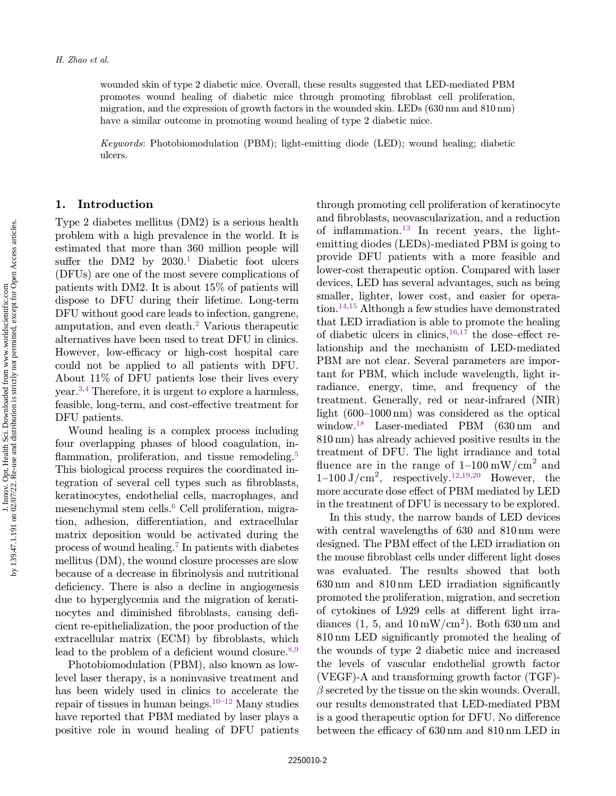wounded skin of type 2 diabetic mice. Overall, these results suggested that LED-mediated PBM promotes wound healing of diabetic mice through promoting fibroblast cell proliferation, migration, and the expression of growth factors in the wounded skin. LEDs (630 nm and 810 nm) have a similar outcome in promoting wound healing of type 2 diabetic mice.

Keywords: Photobiomodulation (PBM); light-emitting diode (LED); wound healing; diabetic ulcers.

### 1. Introduction

Type 2 diabetes mellitus (DM2) is a serious health problem with a high prevalence in the world. It is estimated that more than 360 million people will suffer the DM2 by  $2030<sup>1</sup>$  $2030<sup>1</sup>$  $2030<sup>1</sup>$  Diabetic foot ulcers (DFUs) are one of the most severe complications of patients with DM2. It is about 15% of patients will dispose to DFU during their lifetime. Long-term DFU without good care leads to infection, gangrene, amputation, and even death[.2](#page-8-0) Various therapeutic alternatives have been used to treat DFU in clinics. However, low-efficacy or high-cost hospital care could not be applied to all patients with DFU. About 11% of DFU patients lose their lives every year.[3,4](#page-8-0) Therefore, it is urgent to explore a harmless, feasible, long-term, and cost-effective treatment for DFU patients.

Wound healing is a complex process including four overlapping phases of blood coagulation, in- flammation, proliferation, and tissue remodeling.<sup>[5](#page-8-0)</sup> This biological process requires the coordinated integration of several cell types such as fibroblasts, keratinocytes, endothelial cells, macrophages, and mesenchymal stem cells.<sup>[6](#page-8-0)</sup> Cell proliferation, migration, adhesion, differentiation, and extracellular matrix deposition would be activated during the process of wound healing.[7](#page-8-0) In patients with diabetes mellitus (DM), the wound closure processes are slow because of a decrease in fibrinolysis and nutritional deficiency. There is also a decline in angiogenesis due to hyperglycemia and the migration of keratinocytes and diminished fibroblasts, causing deficient re-epithelialization, the poor production of the extracellular matrix (ECM) by fibroblasts, which lead to the problem of a deficient wound closure.  $8,9$ 

Photobiomodulation (PBM), also known as lowlevel laser therapy, is a noninvasive treatment and has been widely used in clinics to accelerate the repair of tissues in human beings. $10^{-12}$  $10^{-12}$  $10^{-12}$  $10^{-12}$  Many studies have reported that PBM mediated by laser plays a positive role in wound healing of DFU patients through promoting cell proliferation of keratinocyte and fibroblasts, neovascularization, and a reduction of inflammation.<sup>[13](#page-8-0)</sup> In recent years, the lightemitting diodes (LEDs)-mediated PBM is going to provide DFU patients with a more feasible and lower-cost therapeutic option. Compared with laser devices, LED has several advantages, such as being smaller, lighter, lower cost, and easier for operation.<sup>14,15</sup> Although a few studies have demonstrated that LED irradiation is able to promote the healing of diabetic ulcers in clinics, $16,17$  the dose–effect relationship and the mechanism of LED-mediated PBM are not clear. Several parameters are important for PBM, which include wavelength, light irradiance, energy, time, and frequency of the treatment. Generally, red or near-infrared (NIR) light (600–1000 nm) was considered as the optical window[.18](#page-8-0) Laser-mediated PBM (630 nm and 810 nm) has already achieved positive results in the treatment of DFU. The light irradiance and total fluence are in the range of  $1-100 \text{ mW/cm}^2$  and  $1-100 \text{ J/cm}^2$ , respectively.<sup>[12](#page-8-0)[,19](#page-9-0),[20](#page-9-0)</sup> However, the more accurate dose effect of PBM mediated by LED in the treatment of DFU is necessary to be explored.

In this study, the narrow bands of LED devices with central wavelengths of 630 and 810 nm were designed. The PBM effect of the LED irradiation on the mouse fibroblast cells under different light doses was evaluated. The results showed that both  $630 \,\mathrm{nm}$  and  $810 \,\mathrm{nm}$  LED irradiation significantly promoted the proliferation, migration, and secretion of cytokines of L929 cells at different light irradiances  $(1, 5, \text{ and } 10 \text{ mW/cm}^2)$ . Both 630 nm and  $810 \,\mathrm{nm}$  LED significantly promoted the healing of the wounds of type 2 diabetic mice and increased the levels of vascular endothelial growth factor (VEGF)-A and transforming growth factor (TGF)-  $\beta$  secreted by the tissue on the skin wounds. Overall, our results demonstrated that LED-mediated PBM is a good therapeutic option for DFU. No difference between the efficacy of  $630 \text{ nm}$  and  $810 \text{ nm}$  LED in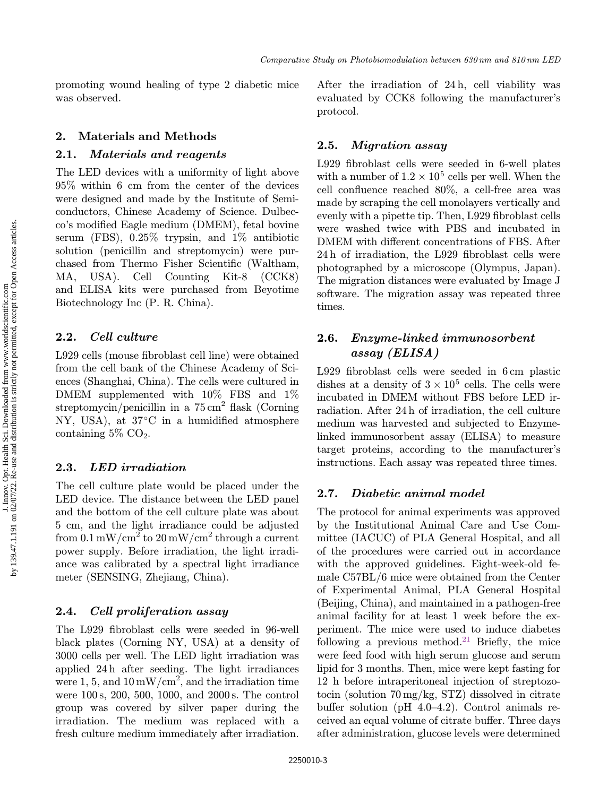promoting wound healing of type 2 diabetic mice was observed.

# 2. Materials and Methods

### 2.1. Materials and reagents

The LED devices with a uniformity of light above 95% within 6 cm from the center of the devices were designed and made by the Institute of Semiconductors, Chinese Academy of Science. Dulbecco's modified Eagle medium (DMEM), fetal bovine serum (FBS), 0.25% trypsin, and 1% antibiotic solution (penicillin and streptomycin) were purchased from Thermo Fisher Scientific (Waltham, MA, USA). Cell Counting Kit-8 (CCK8) and ELISA kits were purchased from Beyotime Biotechnology Inc (P. R. China).

## 2.2. Cell culture

L929 cells (mouse fibroblast cell line) were obtained from the cell bank of the Chinese Academy of Sciences (Shanghai, China). The cells were cultured in DMEM supplemented with  $10\%$  FBS and  $1\%$ streptomycin/penicillin in a  $75 \text{ cm}^2$  flask (Corning) NY, USA), at  $37^{\circ}$ C in a humidified atmosphere containing  $5\%$  CO<sub>2</sub>.

### 2.3. LED irradiation

The cell culture plate would be placed under the LED device. The distance between the LED panel and the bottom of the cell culture plate was about 5 cm, and the light irradiance could be adjusted from  $0.1 \text{ mW/cm}^2$  to  $20 \text{ mW/cm}^2$  through a current power supply. Before irradiation, the light irradiance was calibrated by a spectral light irradiance meter (SENSING, Zhejiang, China).

### 2.4. Cell proliferation assay

The L929 fibroblast cells were seeded in 96-well black plates (Corning NY, USA) at a density of 3000 cells per well. The LED light irradiation was applied 24 h after seeding. The light irradiances were 1, 5, and  $10 \text{ mW/cm}^2$ , and the irradiation time were 100 s, 200, 500, 1000, and 2000 s. The control group was covered by silver paper during the irradiation. The medium was replaced with a fresh culture medium immediately after irradiation.

After the irradiation of 24 h, cell viability was evaluated by CCK8 following the manufacturer's protocol.

### 2.5. Migration assay

L929 fibroblast cells were seeded in 6-well plates with a number of  $1.2 \times 10^5$  cells per well. When the cell confluence reached  $80\%$ , a cell-free area was made by scraping the cell monolayers vertically and evenly with a pipette tip. Then, L929 fibroblast cells were washed twice with PBS and incubated in DMEM with different concentrations of FBS. After  $24 h$  of irradiation, the L929 fibroblast cells were photographed by a microscope (Olympus, Japan). The migration distances were evaluated by Image J software. The migration assay was repeated three times.

# 2.6. Enzyme-linked immunosorbent assay (ELISA)

L929 fibroblast cells were seeded in  $6 \text{ cm}$  plastic dishes at a density of  $3 \times 10^5$  cells. The cells were incubated in DMEM without FBS before LED irradiation. After 24 h of irradiation, the cell culture medium was harvested and subjected to Enzymelinked immunosorbent assay (ELISA) to measure target proteins, according to the manufacturer's instructions. Each assay was repeated three times.

### 2.7. Diabetic animal model

The protocol for animal experiments was approved by the Institutional Animal Care and Use Committee (IACUC) of PLA General Hospital, and all of the procedures were carried out in accordance with the approved guidelines. Eight-week-old female C57BL/6 mice were obtained from the Center of Experimental Animal, PLA General Hospital (Beijing, China), and maintained in a pathogen-free animal facility for at least 1 week before the experiment. The mice were used to induce diabetes following a previous method.<sup>[21](#page-9-0)</sup> Briefly, the mice were feed food with high serum glucose and serum lipid for 3 months. Then, mice were kept fasting for 12 h before intraperitoneal injection of streptozotocin (solution 70 mg/kg, STZ) dissolved in citrate buffer solution (pH  $4.0-4.2$ ). Control animals received an equal volume of citrate buffer. Three days after administration, glucose levels were determined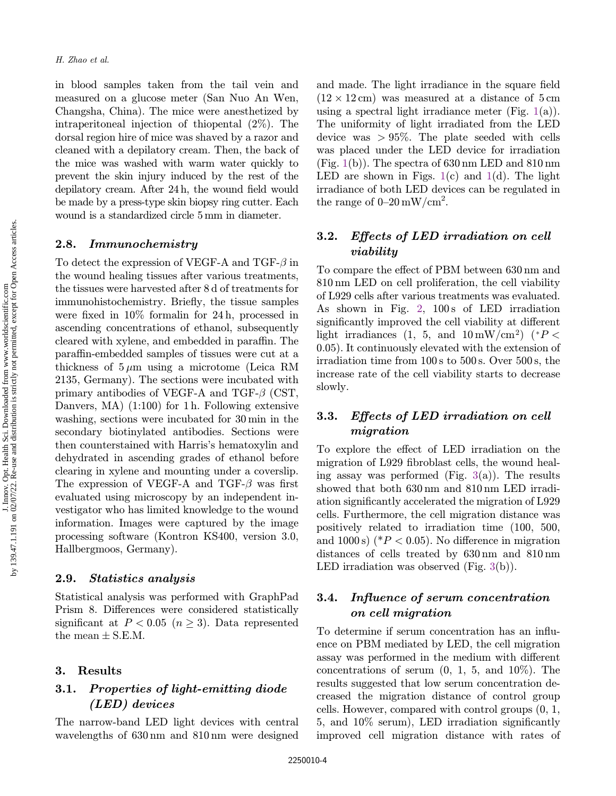in blood samples taken from the tail vein and measured on a glucose meter (San Nuo An Wen, Changsha, China). The mice were anesthetized by intraperitoneal injection of thiopental (2%). The dorsal region hire of mice was shaved by a razor and cleaned with a depilatory cream. Then, the back of the mice was washed with warm water quickly to prevent the skin injury induced by the rest of the  $depilatory cream. After 24 h, the wound field would$ be made by a press-type skin biopsy ring cutter. Each wound is a standardized circle 5 mm in diameter.

#### 2.8. Immunochemistry

To detect the expression of VEGF-A and  $TGF- $\beta$  in$ the wound healing tissues after various treatments, the tissues were harvested after 8 d of treatments for immunohistochemistry. Briefly, the tissue samples were fixed in  $10\%$  formalin for  $24 h$ , processed in ascending concentrations of ethanol, subsequently cleared with xylene, and embedded in paraffin. The para±n-embedded samples of tissues were cut at a thickness of  $5 \mu m$  using a microtome (Leica RM 2135, Germany). The sections were incubated with primary antibodies of VEGF-A and TGF- $\beta$  (CST, Danvers, MA) (1:100) for 1 h. Following extensive washing, sections were incubated for 30 min in the secondary biotinylated antibodies. Sections were then counterstained with Harris's hematoxylin and dehydrated in ascending grades of ethanol before clearing in xylene and mounting under a coverslip. The expression of VEGF-A and TGF- $\beta$  was first evaluated using microscopy by an independent investigator who has limited knowledge to the wound information. Images were captured by the image processing software (Kontron KS400, version 3.0, Hallbergmoos, Germany).

#### 2.9. Statistics analysis

Statistical analysis was performed with GraphPad Prism 8. Differences were considered statistically significant at  $P < 0.05$   $(n \geq 3)$ . Data represented the mean  $\pm$  S.E.M.

#### 3. Results

# 3.1. Properties of light-emitting diode (LED) devices

The narrow-band LED light devices with central wavelengths of 630 nm and 810 nm were designed

and made. The light irradiance in the square field  $(12 \times 12 \text{ cm})$  was measured at a distance of  $5 \text{ cm}$ using a spectral light irradiance meter (Fig.  $1(a)$  $1(a)$ ). The uniformity of light irradiated from the LED device was  $> 95\%$ . The plate seeded with cells was placed under the LED device for irradiation  $(Fig. 1(b))$  $(Fig. 1(b))$  $(Fig. 1(b))$ . The spectra of 630 nm LED and 810 nm LED are shown in Figs.  $1(c)$  $1(c)$  and  $1(d)$ . The light irradiance of both LED devices can be regulated in the range of  $0-20 \,\mathrm{mW/cm^2}$ .

# 3.2. Effects of LED irradiation on cell viability

To compare the effect of PBM between 630 nm and 810 nm LED on cell proliferation, the cell viability of L929 cells after various treatments was evaluated. As shown in Fig. [2,](#page-4-0) 100s of LED irradiation significantly improved the cell viability at different light irradiances (1, 5, and  $10 \text{ mW/cm}^2$ ) (\*P < 0:05). It continuously elevated with the extension of irradiation time from 100 s to 500 s. Over 500 s, the increase rate of the cell viability starts to decrease slowly.

# 3.3. Effects of LED irradiation on cell migration

To explore the effect of LED irradiation on the migration of L929 fibroblast cells, the wound healing assay was performed (Fig.  $3(a)$  $3(a)$ ). The results showed that both 630 nm and 810 nm LED irradiation significantly accelerated the migration of L929 cells. Furthermore, the cell migration distance was positively related to irradiation time (100, 500, and 1000 s) ( $P < 0.05$ ). No difference in migration distances of cells treated by 630 nm and 810 nm LED irradiation was observed (Fig. [3](#page-5-0)(b)).

# 3.4. Influence of serum concentration on cell migration

To determine if serum concentration has an influence on PBM mediated by LED, the cell migration assay was performed in the medium with different concentrations of serum  $(0, 1, 5, \text{ and } 10\%)$ . The results suggested that low serum concentration decreased the migration distance of control group cells. However, compared with control groups (0, 1,  $5,$  and  $10\%$  serum), LED irradiation significantly improved cell migration distance with rates of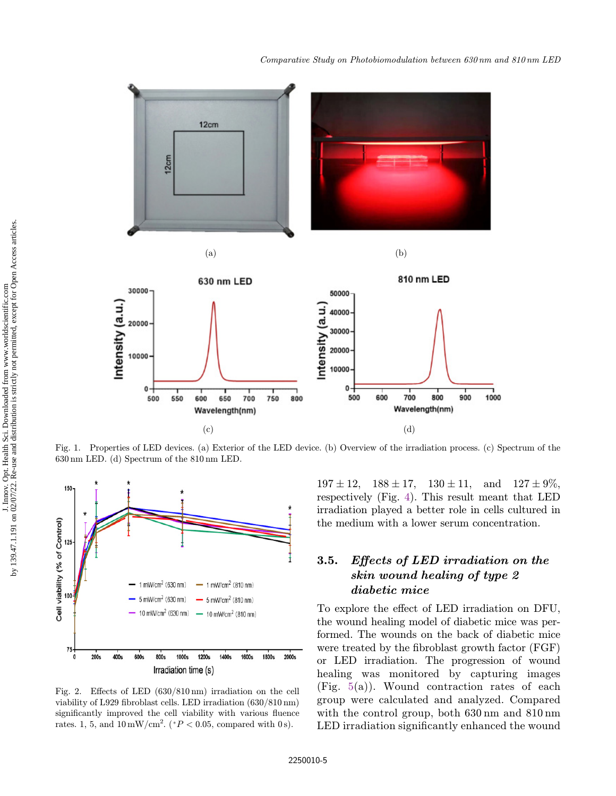<span id="page-4-0"></span>

Fig. 1. Properties of LED devices. (a) Exterior of the LED device. (b) Overview of the irradiation process. (c) Spectrum of the 630 nm LED. (d) Spectrum of the 810 nm LED.



Fig. 2. Effects of LED  $(630/810 \text{ nm})$  irradiation on the cell viability of L929 fibroblast cells. LED irradiation  $(630/810 \text{ nm})$ significantly improved the cell viability with various fluence rates. 1, 5, and  $10 \,\mathrm{mW/cm}^2$ . ( ${}^*P$  < 0.05, compared with 0 s).

 $197 \pm 12$ ,  $188 \pm 17$ ,  $130 \pm 11$ , and  $127 \pm 9\%$ , respectively (Fig. [4\)](#page-5-0). This result meant that LED irradiation played a better role in cells cultured in the medium with a lower serum concentration.

# 3.5. Effects of LED irradiation on the skin wound healing of type 2 diabetic mice

To explore the effect of LED irradiation on DFU, the wound healing model of diabetic mice was performed. The wounds on the back of diabetic mice were treated by the fibroblast growth factor  $(FGF)$ or LED irradiation. The progression of wound healing was monitored by capturing images (Fig. [5\(](#page-6-0)a)). Wound contraction rates of each group were calculated and analyzed. Compared with the control group, both 630 nm and 810 nm LED irradiation significantly enhanced the wound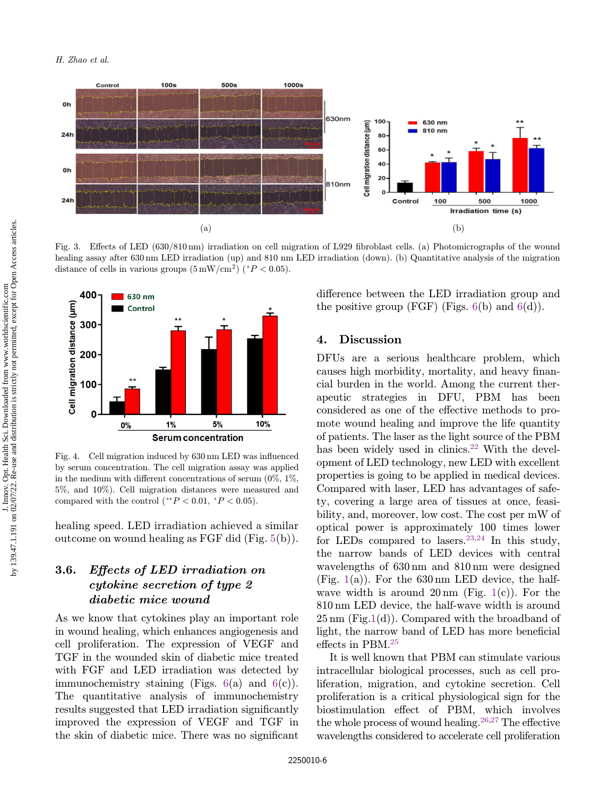<span id="page-5-0"></span>

Fig. 3. Effects of LED (630/810 nm) irradiation on cell migration of L929 fibroblast cells. (a) Photomicrographs of the wound healing assay after 630 nm LED irradiation (up) and 810 nm LED irradiation (down). (b) Quantitative analysis of the migration distance of cells in various groups  $(5 \text{ mW/cm}^2)(*P < 0.05)$ .



Fig. 4. Cell migration induced by 630 nm LED was influenced by serum concentration. The cell migration assay was applied in the medium with different concentrations of serum  $(0\%, 1\%$ , 5%, and 10%). Cell migration distances were measured and compared with the control (\*\* $P < 0.01$ , \* $P < 0.05$ ).

healing speed. LED irradiation achieved a similar outcome on wound healing as FGF did (Fig. [5](#page-6-0)(b)).

# 3.6. Effects of LED irradiation on cytokine secretion of type 2 diabetic mice wound

As we know that cytokines play an important role in wound healing, which enhances angiogenesis and cell proliferation. The expression of VEGF and TGF in the wounded skin of diabetic mice treated with FGF and LED irradiation was detected by immunochemistry staining (Figs.  $6(a)$  $6(a)$  and  $6(c)$ ). The quantitative analysis of immunochemistry results suggested that LED irradiation significantly improved the expression of VEGF and TGF in the skin of diabetic mice. There was no significant difference between the LED irradiation group and the positive group (FGF) (Figs.  $6(b)$  $6(b)$  and  $6(d)$  $6(d)$ ).

#### 4. Discussion

DFUs are a serious healthcare problem, which causes high morbidity, mortality, and heavy financial burden in the world. Among the current therapeutic strategies in DFU, PBM has been considered as one of the effective methods to promote wound healing and improve the life quantity of patients. The laser as the light source of the PBM has been widely used in clinics.<sup>[22](#page-9-0)</sup> With the development of LED technology, new LED with excellent properties is going to be applied in medical devices. Compared with laser, LED has advantages of safety, covering a large area of tissues at once, feasibility, and, moreover, low cost. The cost per mW of optical power is approximately 100 times lower for LEDs compared to lasers.<sup>[23,24](#page-9-0)</sup> In this study, the narrow bands of LED devices with central wavelengths of 630 nm and 810 nm were designed (Fig. [1\(](#page-4-0)a)). For the  $630 \text{ nm}$  LED device, the halfwave width is around  $20 \text{ nm}$  (Fig. [1](#page-4-0)(c)). For the 810 nm LED device, the half-wave width is around  $25 \,\mathrm{nm}$  (Fig.[1](#page-4-0)(d)). Compared with the broadband of light, the narrow band of LED has more beneficial effects in PBM. $25$ 

It is well known that PBM can stimulate various intracellular biological processes, such as cell proliferation, migration, and cytokine secretion. Cell proliferation is a critical physiological sign for the biostimulation effect of PBM, which involves the whole process of wound healing.<sup>[26,27](#page-9-0)</sup> The effective wavelengths considered to accelerate cell proliferation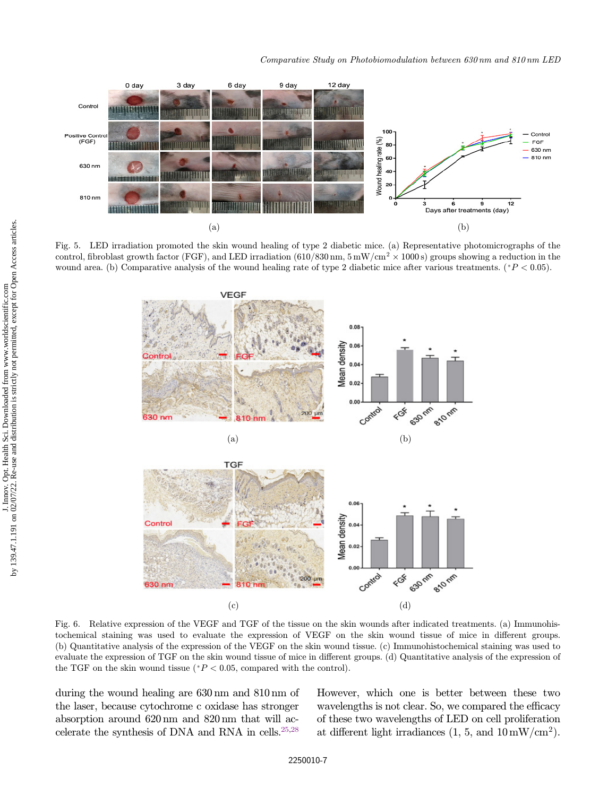<span id="page-6-0"></span>

Fig. 5. LED irradiation promoted the skin wound healing of type 2 diabetic mice. (a) Representative photomicrographs of the control, fibroblast growth factor (FGF), and LED irradiation (610/830 nm,  $5 \text{ mW/cm}^2 \times 1000 \text{ s}$ ) groups showing a reduction in the wound area. (b) Comparative analysis of the wound healing rate of type 2 diabetic mice after various treatments. ( $P < 0.05$ ).



Fig. 6. Relative expression of the VEGF and TGF of the tissue on the skin wounds after indicated treatments. (a) Immunohistochemical staining was used to evaluate the expression of VEGF on the skin wound tissue of mice in different groups. (b) Quantitative analysis of the expression of the VEGF on the skin wound tissue. (c) Immunohistochemical staining was used to evaluate the expression of TGF on the skin wound tissue of mice in different groups. (d) Quantitative analysis of the expression of the TGF on the skin wound tissue ( $P < 0.05$ , compared with the control).

during the wound healing are 630 nm and 810 nm of the laser, because cytochrome c oxidase has stronger absorption around 620 nm and 820 nm that will accelerate the synthesis of DNA and RNA in cells[.25,28](#page-9-0) However, which one is better between these two wavelengths is not clear. So, we compared the efficacy of these two wavelengths of LED on cell proliferation at different light irradiances  $(1, 5, \text{ and } 10 \text{ mW/cm}^2)$ .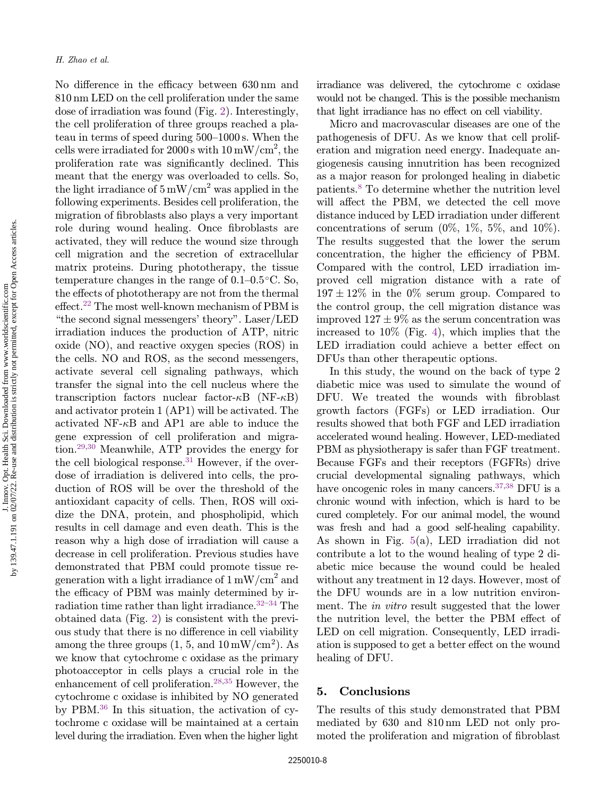No difference in the efficacy between 630 nm and 810 nm LED on the cell proliferation under the same dose of irradiation was found (Fig. [2](#page-4-0)). Interestingly, the cell proliferation of three groups reached a plateau in terms of speed during 500–1000 s. When the cells were irradiated for  $2000 \text{ s}$  with  $10 \text{ mW/cm}^2$ , the proliferation rate was significantly declined. This meant that the energy was overloaded to cells. So, the light irradiance of  $5 \text{ mW/cm}^2$  was applied in the following experiments. Besides cell proliferation, the migration of fibroblasts also plays a very important role during wound healing. Once fibroblasts are activated, they will reduce the wound size through cell migration and the secretion of extracellular matrix proteins. During phototherapy, the tissue temperature changes in the range of  $0.1-0.5$  °C. So, the effects of phototherapy are not from the thermal  $effect.<sup>22</sup>$  $effect.<sup>22</sup>$  $effect.<sup>22</sup>$  The most well-known mechanism of PBM is "the second signal messengers' theory". Laser/LED irradiation induces the production of ATP, nitric oxide (NO), and reactive oxygen species (ROS) in the cells. NO and ROS, as the second messengers, activate several cell signaling pathways, which transfer the signal into the cell nucleus where the transcription factors nuclear factor- $\kappa$ B (NF- $\kappa$ B) and activator protein 1 (AP1) will be activated. The activated NF- $\kappa$ B and AP1 are able to induce the gene expression of cell proliferation and migration[.29,30](#page-9-0) Meanwhile, ATP provides the energy for the cell biological response.<sup>[31](#page-9-0)</sup> However, if the overdose of irradiation is delivered into cells, the production of ROS will be over the threshold of the antioxidant capacity of cells. Then, ROS will oxidize the DNA, protein, and phospholipid, which results in cell damage and even death. This is the reason why a high dose of irradiation will cause a decrease in cell proliferation. Previous studies have demonstrated that PBM could promote tissue regeneration with a light irradiance of  $1 \text{ mW/cm}^2$  and the efficacy of PBM was mainly determined by irradiation time rather than light irradiance. $32-34$  $32-34$  $32-34$  The obtained data (Fig. [2](#page-4-0)) is consistent with the previous study that there is no difference in cell viability among the three groups  $(1, 5, \text{ and } 10 \text{ mW/cm}^2)$ . As we know that cytochrome c oxidase as the primary photoacceptor in cells plays a crucial role in the enhancement of cell proliferation[.28,35](#page-9-0) However, the irradiance was delivered, the cytochrome c oxidase would not be changed. This is the possible mechanism that light irradiance has no effect on cell viability.

Micro and macrovascular diseases are one of the pathogenesis of DFU. As we know that cell proliferation and migration need energy. Inadequate angiogenesis causing innutrition has been recognized as a major reason for prolonged healing in diabetic patients.[8](#page-8-0) To determine whether the nutrition level will affect the PBM, we detected the cell move distance induced by LED irradiation under different concentrations of serum  $(0\%, 1\%, 5\%, \text{ and } 10\%).$ The results suggested that the lower the serum concentration, the higher the efficiency of PBM. Compared with the control, LED irradiation improved cell migration distance with a rate of  $197 \pm 12\%$  in the 0% serum group. Compared to the control group, the cell migration distance was improved  $127 \pm 9\%$  as the serum concentration was increased to 10% (Fig. [4](#page-5-0)), which implies that the LED irradiation could achieve a better effect on DFUs than other therapeutic options.

In this study, the wound on the back of type 2 diabetic mice was used to simulate the wound of DFU. We treated the wounds with fibroblast growth factors (FGFs) or LED irradiation. Our results showed that both FGF and LED irradiation accelerated wound healing. However, LED-mediated PBM as physiotherapy is safer than FGF treatment. Because FGFs and their receptors (FGFRs) drive crucial developmental signaling pathways, which have oncogenic roles in many cancers.<sup>37,38</sup> DFU is a chronic wound with infection, which is hard to be cured completely. For our animal model, the wound was fresh and had a good self-healing capability. As shown in Fig. [5](#page-6-0)(a), LED irradiation did not contribute a lot to the wound healing of type 2 diabetic mice because the wound could be healed without any treatment in 12 days. However, most of the DFU wounds are in a low nutrition environment. The *in vitro* result suggested that the lower the nutrition level, the better the PBM effect of LED on cell migration. Consequently, LED irradiation is supposed to get a better effect on the wound healing of DFU.

#### 5. Conclusions

The results of this study demonstrated that PBM mediated by 630 and 810 nm LED not only promoted the proliferation and migration of fibroblast

cytochrome c oxidase is inhibited by NO generated by PBM.[36](#page-9-0) In this situation, the activation of cytochrome c oxidase will be maintained at a certain level during the irradiation. Even when the higher light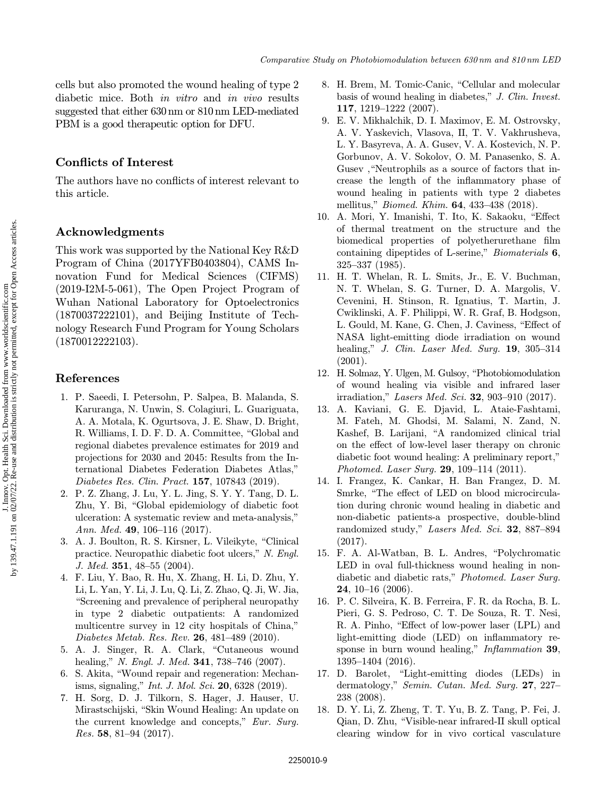<span id="page-8-0"></span>cells but also promoted the wound healing of type 2 diabetic mice. Both in vitro and in vivo results suggested that either 630 nm or 810 nm LED-mediated PBM is a good therapeutic option for DFU.

# Conflicts of Interest

The authors have no conflicts of interest relevant to this article.

### Acknowledgments

This work was supported by the National Key R&D Program of China (2017YFB0403804), CAMS Innovation Fund for Medical Sciences (CIFMS) (2019-I2M-5-061), The Open Project Program of Wuhan National Laboratory for Optoelectronics (1870037222101), and Beijing Institute of Technology Research Fund Program for Young Scholars (1870012222103).

#### References

- 1. P. Saeedi, I. Petersohn, P. Salpea, B. Malanda, S. Karuranga, N. Unwin, S. Colagiuri, L. Guariguata, A. A. Motala, K. Ogurtsova, J. E. Shaw, D. Bright, R. Williams, I. D. F. D. A. Committee, "Global and regional diabetes prevalence estimates for 2019 and projections for 2030 and 2045: Results from the International Diabetes Federation Diabetes Atlas," Diabetes Res. Clin. Pract. 157, 107843 (2019).
- 2. P. Z. Zhang, J. Lu, Y. L. Jing, S. Y. Y. Tang, D. L. Zhu, Y. Bi, "Global epidemiology of diabetic foot ulceration: A systematic review and meta-analysis," Ann. Med. 49, 106–116 (2017).
- 3. A. J. Boulton, R. S. Kirsner, L. Vileikyte, "Clinical practice. Neuropathic diabetic foot ulcers," N. Engl. J. Med. 351, 48–55 (2004).
- 4. F. Liu, Y. Bao, R. Hu, X. Zhang, H. Li, D. Zhu, Y. Li, L. Yan, Y. Li, J. Lu, Q. Li, Z. Zhao, Q. Ji, W. Jia, "Screening and prevalence of peripheral neuropathy in type 2 diabetic outpatients: A randomized multicentre survey in 12 city hospitals of China," Diabetes Metab. Res. Rev. 26, 481–489 (2010).
- 5. A. J. Singer, R. A. Clark, "Cutaneous wound healing," N. Engl. J. Med. 341, 738-746 (2007).
- 6. S. Akita, \Wound repair and regeneration: Mechanisms, signaling," Int. J. Mol. Sci. 20, 6328 (2019).
- 7. H. Sorg, D. J. Tilkorn, S. Hager, J. Hauser, U. Mirastschijski, "Skin Wound Healing: An update on the current knowledge and concepts," Eur. Surg. Res. 58, 81–94 (2017).
- 8. H. Brem, M. Tomic-Canic, "Cellular and molecular basis of wound healing in diabetes," J. Clin. Invest. 117, 1219–1222 (2007).
- 9. E. V. Mikhalchik, D. I. Maximov, E. M. Ostrovsky, A. V. Yaskevich, Vlasova, II, T. V. Vakhrusheva, L. Y. Basyreva, A. A. Gusev, V. A. Kostevich, N. P. Gorbunov, A. V. Sokolov, O. M. Panasenko, S. A. Gusey, "Neutrophils as a source of factors that increase the length of the inflammatory phase of wound healing in patients with type 2 diabetes mellitus," Biomed. Khim. 64, 433–438 (2018).
- 10. A. Mori, Y. Imanishi, T. Ito, K. Sakaoku, "Effect of thermal treatment on the structure and the biomedical properties of polyetherurethane film containing dipeptides of L-serine," Biomaterials 6, 325–337 (1985).
- 11. H. T. Whelan, R. L. Smits, Jr., E. V. Buchman, N. T. Whelan, S. G. Turner, D. A. Margolis, V. Cevenini, H. Stinson, R. Ignatius, T. Martin, J. Cwiklinski, A. F. Philippi, W. R. Graf, B. Hodgson, L. Gould, M. Kane, G. Chen, J. Caviness, "Effect of NASA light-emitting diode irradiation on wound healing," *J. Clin. Laser Med. Surg.* **19**, 305–314  $(2001).$
- 12. H. Solmaz, Y. Ulgen, M. Gulsoy, \Photobiomodulation of wound healing via visible and infrared laser irradiation," Lasers Med. Sci. 32, 903-910 (2017).
- 13. A. Kaviani, G. E. Djavid, L. Ataie-Fashtami, M. Fateh, M. Ghodsi, M. Salami, N. Zand, N. Kashef, B. Larijani, "A randomized clinical trial on the effect of low-level laser therapy on chronic diabetic foot wound healing: A preliminary report," Photomed. Laser Surg. 29, 109–114 (2011).
- 14. I. Frangez, K. Cankar, H. Ban Frangez, D. M. Smrke, "The effect of LED on blood microcirculation during chronic wound healing in diabetic and non-diabetic patients-a prospective, double-blind randomized study," Lasers Med. Sci. 32, 887-894 (2017).
- 15. F. A. Al-Watban, B. L. Andres, \Polychromatic LED in oval full-thickness wound healing in nondiabetic and diabetic rats," Photomed. Laser Surg. **24**, 10–16  $(2006)$ .
- 16. P. C. Silveira, K. B. Ferreira, F. R. da Rocha, B. L. Pieri, G. S. Pedroso, C. T. De Souza, R. T. Nesi, R. A. Pinho, "Effect of low-power laser (LPL) and light-emitting diode  $(LED)$  on inflammatory response in burn wound healing," Inflammation 39, 1395–1404 (2016).
- 17. D. Barolet, "Light-emitting diodes (LEDs) in dermatology," Semin. Cutan. Med. Surg. 27, 227– 238 (2008).
- 18. D. Y. Li, Z. Zheng, T. T. Yu, B. Z. Tang, P. Fei, J. Qian, D. Zhu, \Visible-near infrared-II skull optical clearing window for in vivo cortical vasculature